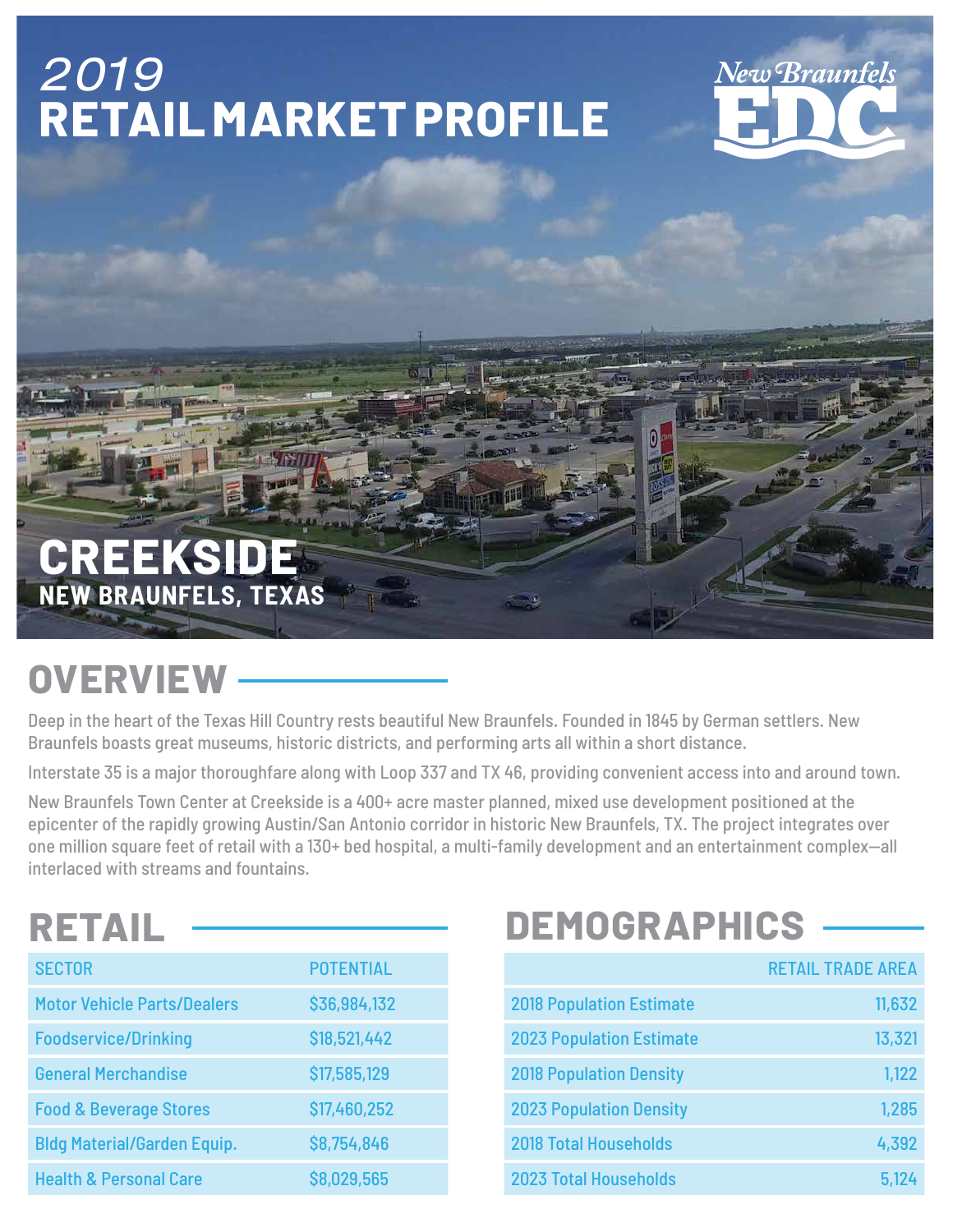## 2019 **RETAIL MARKET PROFILE**

# **Vew Braunfels**

#### **CREEKSIDE NEW BRAUNFELS, TEXAS**

## **OVERVIEW**

Deep in the heart of the Texas Hill Country rests beautiful New Braunfels. Founded in 1845 by German settlers. New Braunfels boasts great museums, historic districts, and performing arts all within a short distance.

Interstate 35 is a major thoroughfare along with Loop 337 and TX 46, providing convenient access into and around town.

岡

New Braunfels Town Center at Creekside is a 400+ acre master planned, mixed use development positioned at the epicenter of the rapidly growing Austin/San Antonio corridor in historic New Braunfels, TX. The project integrates over one million square feet of retail with a 130+ bed hospital, a multi-family development and an entertainment complex—all interlaced with streams and fountains.

### **RETAIL**

| <b>SECTOR</b>                      | <b>POTENTIAL</b> |
|------------------------------------|------------------|
| <b>Motor Vehicle Parts/Dealers</b> | \$36,984,132     |
| <b>Foodservice/Drinking</b>        | \$18,521,442     |
| <b>General Merchandise</b>         | \$17,585,129     |
| <b>Food &amp; Beverage Stores</b>  | \$17,460,252     |
| <b>Bldg Material/Garden Equip.</b> | \$8,754,846      |
| <b>Health &amp; Personal Care</b>  | \$8,029,565      |

## **DEMOGRAPHICS**

|                                 | <b>RETAIL TRADE AREA</b> |
|---------------------------------|--------------------------|
| <b>2018 Population Estimate</b> | 11,632                   |
| <b>2023 Population Estimate</b> | 13,321                   |
| <b>2018 Population Density</b>  | 1,122                    |
| <b>2023 Population Density</b>  | 1,285                    |
| <b>2018 Total Households</b>    | 4,392                    |
| <b>2023 Total Households</b>    | 5,124                    |